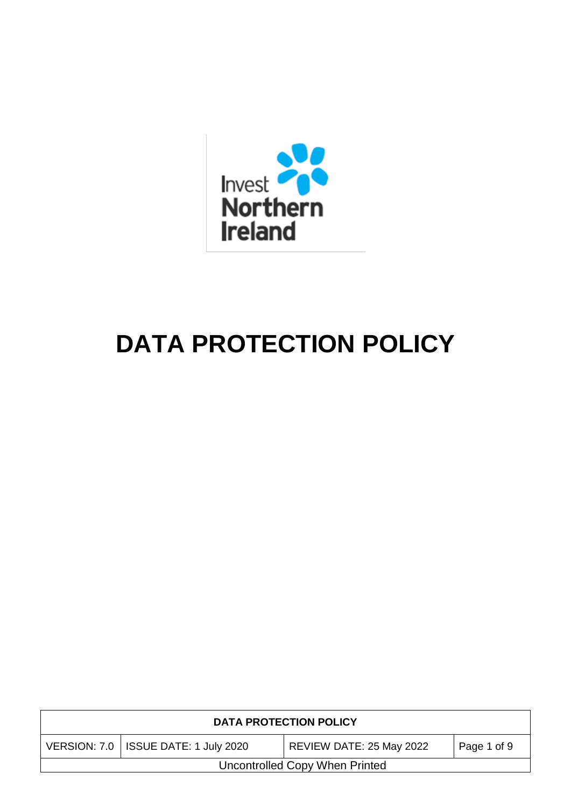

# **DATA PROTECTION POLICY**

| <b>DATA PROTECTION POLICY</b>                                                     |  |  |  |  |  |
|-----------------------------------------------------------------------------------|--|--|--|--|--|
| VERSION: 7.0   ISSUE DATE: 1 July 2020<br>REVIEW DATE: 25 May 2022<br>Page 1 of 9 |  |  |  |  |  |
| Uncontrolled Copy When Printed                                                    |  |  |  |  |  |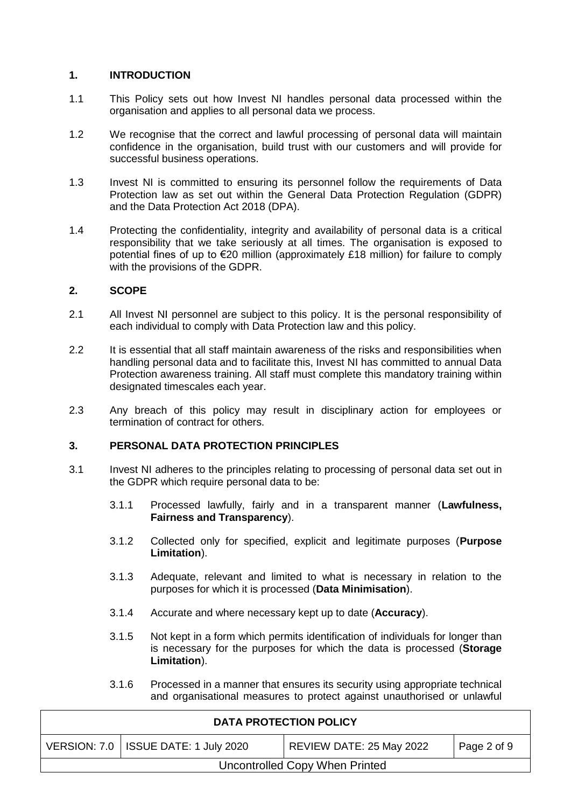## **1. INTRODUCTION**

- 1.1 This Policy sets out how Invest NI handles personal data processed within the organisation and applies to all personal data we process.
- 1.2 We recognise that the correct and lawful processing of personal data will maintain confidence in the organisation, build trust with our customers and will provide for successful business operations.
- 1.3 Invest NI is committed to ensuring its personnel follow the requirements of Data Protection law as set out within the General Data Protection Regulation (GDPR) and the Data Protection Act 2018 (DPA).
- 1.4 Protecting the confidentiality, integrity and availability of personal data is a critical responsibility that we take seriously at all times. The organisation is exposed to potential fines of up to €20 million (approximately £18 million) for failure to comply with the provisions of the GDPR.

## **2. SCOPE**

- 2.1 All Invest NI personnel are subject to this policy. It is the personal responsibility of each individual to comply with Data Protection law and this policy.
- 2.2 It is essential that all staff maintain awareness of the risks and responsibilities when handling personal data and to facilitate this, Invest NI has committed to annual Data Protection awareness training. All staff must complete this mandatory training within designated timescales each year.
- 2.3 Any breach of this policy may result in disciplinary action for employees or termination of contract for others.

## **3. PERSONAL DATA PROTECTION PRINCIPLES**

- 3.1 Invest NI adheres to the principles relating to processing of personal data set out in the GDPR which require personal data to be:
	- 3.1.1 Processed lawfully, fairly and in a transparent manner (**Lawfulness, Fairness and Transparency**).
	- 3.1.2 Collected only for specified, explicit and legitimate purposes (**Purpose Limitation**).
	- 3.1.3 Adequate, relevant and limited to what is necessary in relation to the purposes for which it is processed (**Data Minimisation**).
	- 3.1.4 Accurate and where necessary kept up to date (**Accuracy**).
	- 3.1.5 Not kept in a form which permits identification of individuals for longer than is necessary for the purposes for which the data is processed (**Storage Limitation**).
	- 3.1.6 Processed in a manner that ensures its security using appropriate technical and organisational measures to protect against unauthorised or unlawful

| <b>DATA PROTECTION POLICY</b>                                                       |  |  |  |  |  |
|-------------------------------------------------------------------------------------|--|--|--|--|--|
| VERSION: 7.0   ISSUE DATE: 1 July 2020<br>  REVIEW DATE: 25 May 2022<br>Page 2 of 9 |  |  |  |  |  |
| Uncontrolled Copy When Printed                                                      |  |  |  |  |  |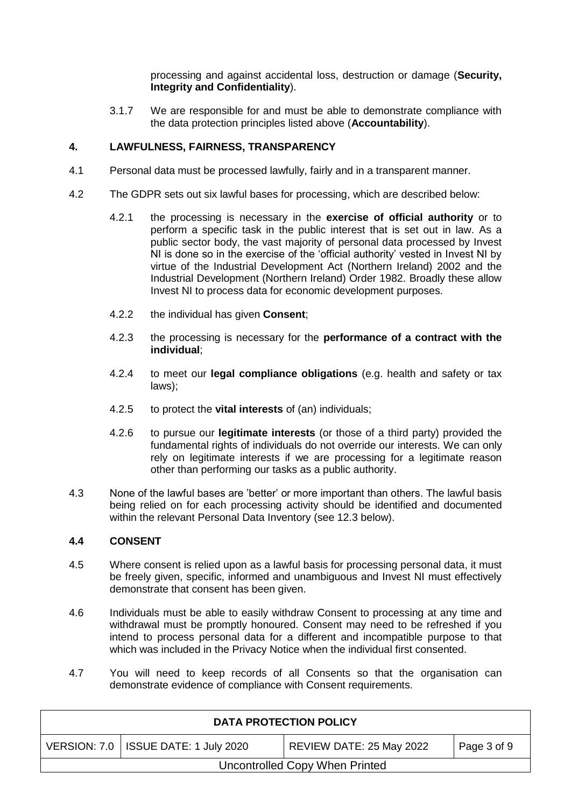processing and against accidental loss, destruction or damage (**Security, Integrity and Confidentiality**).

3.1.7 We are responsible for and must be able to demonstrate compliance with the data protection principles listed above (**Accountability**).

## **4. LAWFULNESS, FAIRNESS, TRANSPARENCY**

- 4.1 Personal data must be processed lawfully, fairly and in a transparent manner.
- 4.2 The GDPR sets out six lawful bases for processing, which are described below:
	- 4.2.1 the processing is necessary in the **exercise of official authority** or to perform a specific task in the public interest that is set out in law. As a public sector body, the vast majority of personal data processed by Invest NI is done so in the exercise of the 'official authority' vested in Invest NI by virtue of the Industrial Development Act (Northern Ireland) 2002 and the Industrial Development (Northern Ireland) Order 1982. Broadly these allow Invest NI to process data for economic development purposes.
	- 4.2.2 the individual has given **Consent**;
	- 4.2.3 the processing is necessary for the **performance of a contract with the individual**;
	- 4.2.4 to meet our **legal compliance obligations** (e.g. health and safety or tax laws);
	- 4.2.5 to protect the **vital interests** of (an) individuals;
	- 4.2.6 to pursue our **legitimate interests** (or those of a third party) provided the fundamental rights of individuals do not override our interests. We can only rely on legitimate interests if we are processing for a legitimate reason other than performing our tasks as a public authority.
- 4.3 None of the lawful bases are 'better' or more important than others. The lawful basis being relied on for each processing activity should be identified and documented within the relevant Personal Data Inventory (see 12.3 below).

## **4.4 CONSENT**

- 4.5 Where consent is relied upon as a lawful basis for processing personal data, it must be freely given, specific, informed and unambiguous and Invest NI must effectively demonstrate that consent has been given.
- 4.6 Individuals must be able to easily withdraw Consent to processing at any time and withdrawal must be promptly honoured. Consent may need to be refreshed if you intend to process personal data for a different and incompatible purpose to that which was included in the Privacy Notice when the individual first consented.
- 4.7 You will need to keep records of all Consents so that the organisation can demonstrate evidence of compliance with Consent requirements.

| <b>DATA PROTECTION POLICY</b>                                                       |  |  |  |  |  |  |
|-------------------------------------------------------------------------------------|--|--|--|--|--|--|
| VERSION: 7.0   ISSUE DATE: 1 July 2020<br>  REVIEW DATE: 25 May 2022<br>Page 3 of 9 |  |  |  |  |  |  |
| Uncontrolled Copy When Printed                                                      |  |  |  |  |  |  |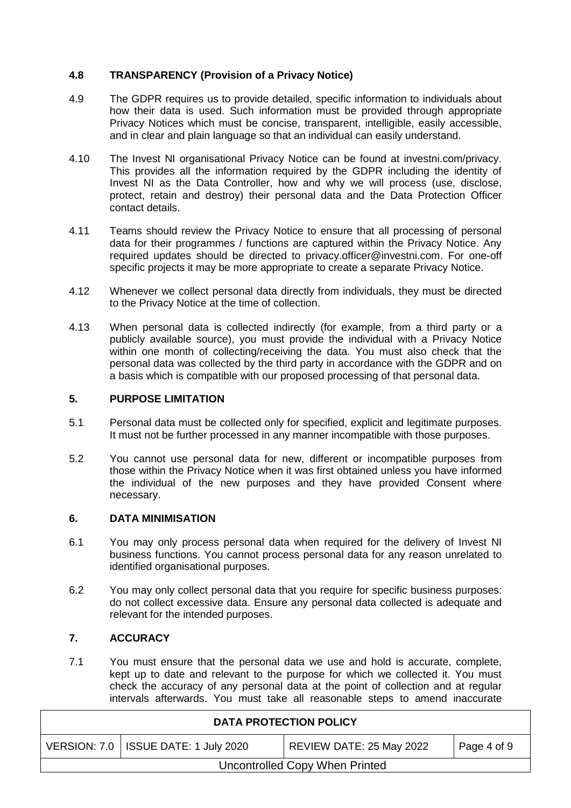## **4.8 TRANSPARENCY (Provision of a Privacy Notice)**

- 4.9 The GDPR requires us to provide detailed, specific information to individuals about how their data is used. Such information must be provided through appropriate Privacy Notices which must be concise, transparent, intelligible, easily accessible, and in clear and plain language so that an individual can easily understand.
- 4.10 The Invest NI organisational Privacy Notice can be found at [investni.com/privacy.](https://www.investni.com/about-us/privacy-notice) This provides all the information required by the GDPR including the identity of Invest NI as the Data Controller, how and why we will process (use, disclose, protect, retain and destroy) their personal data and the Data Protection Officer contact details.
- 4.11 Teams should review the Privacy Notice to ensure that all processing of personal data for their programmes / functions are captured within the Privacy Notice. Any required updates should be directed to [privacy.officer@investni.com.](mailto:privacy.officer@investni.com) For one-off specific projects it may be more appropriate to create a separate Privacy Notice.
- 4.12 Whenever we collect personal data directly from individuals, they must be directed to the Privacy Notice at the time of collection.
- 4.13 When personal data is collected indirectly (for example, from a third party or a publicly available source), you must provide the individual with a Privacy Notice within one month of collecting/receiving the data. You must also check that the personal data was collected by the third party in accordance with the GDPR and on a basis which is compatible with our proposed processing of that personal data.

#### **5. PURPOSE LIMITATION**

- 5.1 Personal data must be collected only for specified, explicit and legitimate purposes. It must not be further processed in any manner incompatible with those purposes.
- 5.2 You cannot use personal data for new, different or incompatible purposes from those within the Privacy Notice when it was first obtained unless you have informed the individual of the new purposes and they have provided Consent where necessary.

## **6. DATA MINIMISATION**

- 6.1 You may only process personal data when required for the delivery of Invest NI business functions. You cannot process personal data for any reason unrelated to identified organisational purposes.
- 6.2 You may only collect personal data that you require for specific business purposes: do not collect excessive data. Ensure any personal data collected is adequate and relevant for the intended purposes.

## **7. ACCURACY**

7.1 You must ensure that the personal data we use and hold is accurate, complete, kept up to date and relevant to the purpose for which we collected it. You must check the accuracy of any personal data at the point of collection and at regular intervals afterwards. You must take all reasonable steps to amend inaccurate

| <b>DATA PROTECTION POLICY</b>                                                     |  |  |  |  |  |  |
|-----------------------------------------------------------------------------------|--|--|--|--|--|--|
| VERSION: 7.0   ISSUE DATE: 1 July 2020<br>REVIEW DATE: 25 May 2022<br>Page 4 of 9 |  |  |  |  |  |  |
| Uncontrolled Copy When Printed                                                    |  |  |  |  |  |  |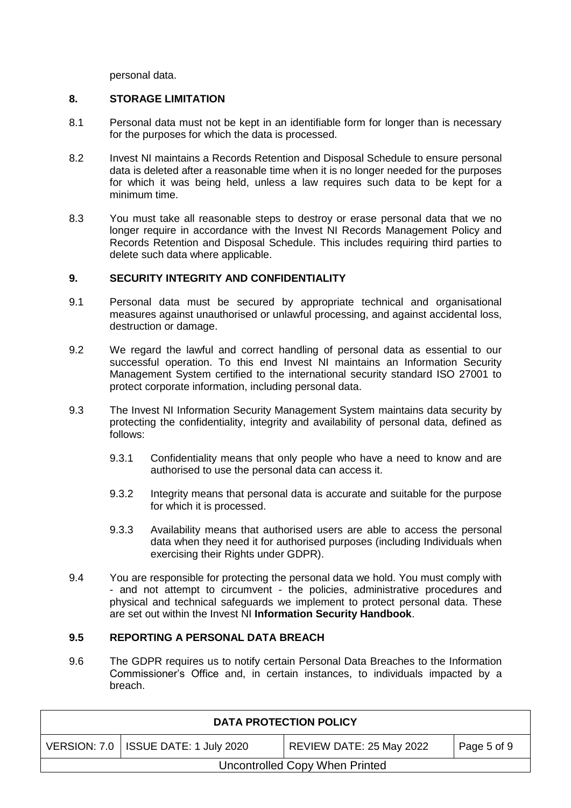personal data.

## **8. STORAGE LIMITATION**

- 8.1 Personal data must not be kept in an identifiable form for longer than is necessary for the purposes for which the data is processed.
- 8.2 Invest NI maintains a Records Retention and Disposal Schedule to ensure personal data is deleted after a reasonable time when it is no longer needed for the purposes for which it was being held, unless a law requires such data to be kept for a minimum time.
- 8.3 You must take all reasonable steps to destroy or erase personal data that we no longer require in accordance with the Invest NI Records Management Policy and Records Retention and Disposal Schedule. This includes requiring third parties to delete such data where applicable.

## **9. SECURITY INTEGRITY AND CONFIDENTIALITY**

- 9.1 Personal data must be secured by appropriate technical and organisational measures against unauthorised or unlawful processing, and against accidental loss, destruction or damage.
- 9.2 We regard the lawful and correct handling of personal data as essential to our successful operation. To this end Invest NI maintains an Information Security Management System certified to the international security standard ISO 27001 to protect corporate information, including personal data.
- 9.3 The Invest NI Information Security Management System maintains data security by protecting the confidentiality, integrity and availability of personal data, defined as follows:
	- 9.3.1 Confidentiality means that only people who have a need to know and are authorised to use the personal data can access it.
	- 9.3.2 Integrity means that personal data is accurate and suitable for the purpose for which it is processed.
	- 9.3.3 Availability means that authorised users are able to access the personal data when they need it for authorised purposes (including Individuals when exercising their Rights under GDPR).
- 9.4 You are responsible for protecting the personal data we hold. You must comply with - and not attempt to circumvent - the policies, administrative procedures and physical and technical safeguards we implement to protect personal data. These are set out within the Invest NI **Information Security Handbook**.

## **9.5 REPORTING A PERSONAL DATA BREACH**

9.6 The GDPR requires us to notify certain Personal Data Breaches to the Information Commissioner's Office and, in certain instances, to individuals impacted by a breach.

| <b>DATA PROTECTION POLICY</b>                                                     |  |  |  |  |  |  |
|-----------------------------------------------------------------------------------|--|--|--|--|--|--|
| VERSION: 7.0   ISSUE DATE: 1 July 2020<br>REVIEW DATE: 25 May 2022<br>Page 5 of 9 |  |  |  |  |  |  |
| Uncontrolled Copy When Printed                                                    |  |  |  |  |  |  |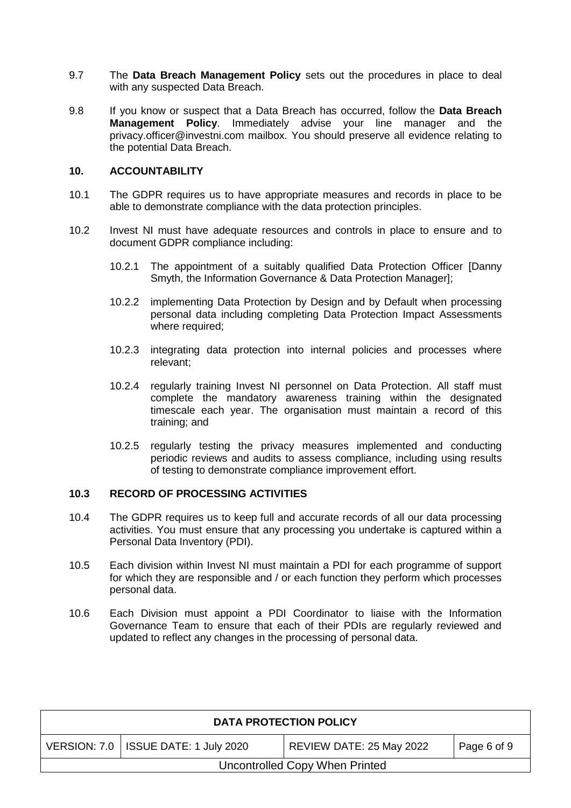- 9.7 The **Data Breach Management Policy** sets out the procedures in place to deal with any suspected Data Breach.
- 9.8 If you know or suspect that a Data Breach has occurred, follow the **Data Breach Management Policy**. Immediately advise your line manager and the [privacy.officer@investni.com](mailto:privacy.officer@investni.com) mailbox. You should preserve all evidence relating to the potential Data Breach.

#### **10. ACCOUNTABILITY**

- 10.1 The GDPR requires us to have appropriate measures and records in place to be able to demonstrate compliance with the data protection principles.
- 10.2 Invest NI must have adequate resources and controls in place to ensure and to document GDPR compliance including:
	- 10.2.1 The appointment of a suitably qualified Data Protection Officer [Danny Smyth, the Information Governance & Data Protection Manager];
	- 10.2.2 implementing Data Protection by Design and by Default when processing personal data including completing Data Protection Impact Assessments where required;
	- 10.2.3 integrating data protection into internal policies and processes where relevant;
	- 10.2.4 regularly training Invest NI personnel on Data Protection. All staff must complete the mandatory awareness training within the designated timescale each year. The organisation must maintain a record of this training; and
	- 10.2.5 regularly testing the privacy measures implemented and conducting periodic reviews and audits to assess compliance, including using results of testing to demonstrate compliance improvement effort.

#### **10.3 RECORD OF PROCESSING ACTIVITIES**

- 10.4 The GDPR requires us to keep full and accurate records of all our data processing activities. You must ensure that any processing you undertake is captured within a Personal Data Inventory (PDI).
- 10.5 Each division within Invest NI must maintain a PDI for each programme of support for which they are responsible and / or each function they perform which processes personal data.
- 10.6 Each Division must appoint a PDI Coordinator to liaise with the Information Governance Team to ensure that each of their PDIs are regularly reviewed and updated to reflect any changes in the processing of personal data.

| <b>DATA PROTECTION POLICY</b>                                                     |  |  |  |  |  |
|-----------------------------------------------------------------------------------|--|--|--|--|--|
| VERSION: 7.0   ISSUE DATE: 1 July 2020<br>REVIEW DATE: 25 May 2022<br>Page 6 of 9 |  |  |  |  |  |
| Uncontrolled Copy When Printed                                                    |  |  |  |  |  |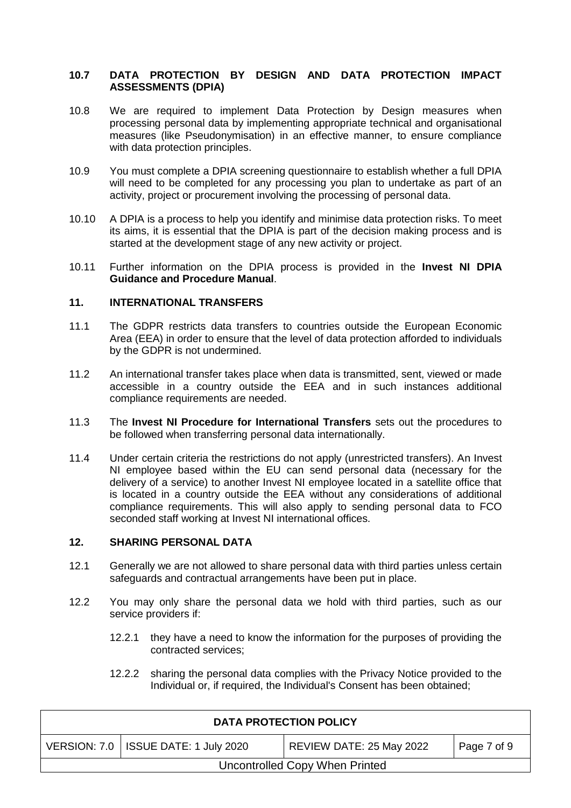## **10.7 DATA PROTECTION BY DESIGN AND DATA PROTECTION IMPACT ASSESSMENTS (DPIA)**

- 10.8 We are required to implement Data Protection by Design measures when processing personal data by implementing appropriate technical and organisational measures (like Pseudonymisation) in an effective manner, to ensure compliance with data protection principles.
- 10.9 You must complete a DPIA screening questionnaire to establish whether a full DPIA will need to be completed for any processing you plan to undertake as part of an activity, project or procurement involving the processing of personal data.
- 10.10 A DPIA is a process to help you identify and minimise data protection risks. To meet its aims, it is essential that the DPIA is part of the decision making process and is started at the development stage of any new activity or project.
- 10.11 Further information on the DPIA process is provided in the **Invest NI DPIA Guidance and Procedure Manual**.

## **11. INTERNATIONAL TRANSFERS**

- 11.1 The GDPR restricts data transfers to countries outside the European Economic Area (EEA) in order to ensure that the level of data protection afforded to individuals by the GDPR is not undermined.
- 11.2 An international transfer takes place when data is transmitted, sent, viewed or made accessible in a country outside the EEA and in such instances additional compliance requirements are needed.
- 11.3 The **Invest NI Procedure for International Transfers** sets out the procedures to be followed when transferring personal data internationally.
- 11.4 Under certain criteria the restrictions do not apply (unrestricted transfers). An Invest NI employee based within the EU can send personal data (necessary for the delivery of a service) to another Invest NI employee located in a satellite office that is located in a country outside the EEA without any considerations of additional compliance requirements. This will also apply to sending personal data to FCO seconded staff working at Invest NI international offices.

## **12. SHARING PERSONAL DATA**

- 12.1 Generally we are not allowed to share personal data with third parties unless certain safeguards and contractual arrangements have been put in place.
- 12.2 You may only share the personal data we hold with third parties, such as our service providers if:
	- 12.2.1 they have a need to know the information for the purposes of providing the contracted services;
	- 12.2.2 sharing the personal data complies with the Privacy Notice provided to the Individual or, if required, the Individual's Consent has been obtained;

| <b>DATA PROTECTION POLICY</b>                                                     |  |  |  |  |  |  |
|-----------------------------------------------------------------------------------|--|--|--|--|--|--|
| VERSION: 7.0   ISSUE DATE: 1 July 2020<br>REVIEW DATE: 25 May 2022<br>Page 7 of 9 |  |  |  |  |  |  |
| Uncontrolled Copy When Printed                                                    |  |  |  |  |  |  |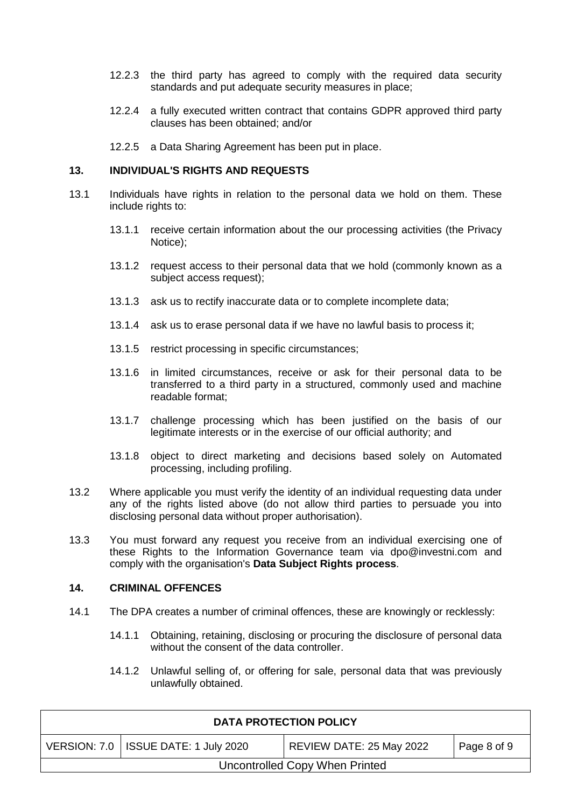- 12.2.3 the third party has agreed to comply with the required data security standards and put adequate security measures in place;
- 12.2.4 a fully executed written contract that contains GDPR approved third party clauses has been obtained; and/or
- 12.2.5 a Data Sharing Agreement has been put in place.

#### **13. INDIVIDUAL'S RIGHTS AND REQUESTS**

- 13.1 Individuals have rights in relation to the personal data we hold on them. These include rights to:
	- 13.1.1 receive certain information about the our processing activities (the Privacy Notice);
	- 13.1.2 request access to their personal data that we hold (commonly known as a subject access request):
	- 13.1.3 ask us to rectify inaccurate data or to complete incomplete data;
	- 13.1.4 ask us to erase personal data if we have no lawful basis to process it;
	- 13.1.5 restrict processing in specific circumstances;
	- 13.1.6 in limited circumstances, receive or ask for their personal data to be transferred to a third party in a structured, commonly used and machine readable format;
	- 13.1.7 challenge processing which has been justified on the basis of our legitimate interests or in the exercise of our official authority; and
	- 13.1.8 object to direct marketing and decisions based solely on Automated processing, including profiling.
- 13.2 Where applicable you must verify the identity of an individual requesting data under any of the rights listed above (do not allow third parties to persuade you into disclosing personal data without proper authorisation).
- 13.3 You must forward any request you receive from an individual exercising one of these Rights to the Information Governance team via dpo@investni.com and comply with the organisation's **Data Subject Rights process**.

#### **14. CRIMINAL OFFENCES**

- 14.1 The DPA creates a number of criminal offences, these are knowingly or recklessly:
	- 14.1.1 Obtaining, retaining, disclosing or procuring the disclosure of personal data without the consent of the data controller.
	- 14.1.2 Unlawful selling of, or offering for sale, personal data that was previously unlawfully obtained.

| <b>DATA PROTECTION POLICY</b>                                                     |  |  |  |  |  |  |
|-----------------------------------------------------------------------------------|--|--|--|--|--|--|
| VERSION: 7.0   ISSUE DATE: 1 July 2020<br>REVIEW DATE: 25 May 2022<br>Page 8 of 9 |  |  |  |  |  |  |
| Uncontrolled Copy When Printed                                                    |  |  |  |  |  |  |